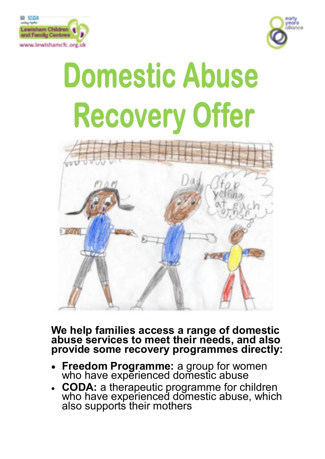



# **Domestic Abuse Recovery Offer**



## **We help families access a range of domestic abuse services to meet their needs, and also provide some recovery programmes directly:**

- **Freedom Programme:** a group for women who have experienced domestic abuse
- **CODA:** a therapeutic programme for children who have experienced domestic abuse, which also supports their mothers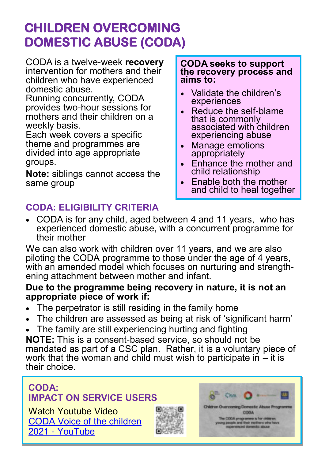# **CHILDREN OVERCOMING DOMESTIC ABUSE (CODA)**

CODA is a twelve-week **recovery** intervention for mothers and their children who have experienced domestic abuse.

Running concurrently, CODA provides two-hour sessions for mothers and their children on a weekly basis.

Each week covers a specific theme and programmes are divided into age appropriate groups.

**Note:** siblings cannot access the same group

#### **CODA seeks to support the recovery process and aims to:**

- Validate the children's experiences
- Reduce the self-blame that is commonly associated with children experiencing abuse
- Manage emotions appropriately
- Enhance the mother and child relationship
- Enable both the mother and child to heal together

## **CODA: ELIGIBILITY CRITERIA**

• CODA is for any child, aged between 4 and 11 years, who has experienced domestic abuse, with a concurrent programme for their mother

We can also work with children over 11 years, and we are also piloting the CODA programme to those under the age of 4 years, with an amended model which focuses on nurturing and strengthening attachment between mother and infant.

### **Due to the programme being recovery in nature, it is not an appropriate piece of work if:**

- The perpetrator is still residing in the family home
- The children are assessed as being at risk of 'significant harm'
- The family are still experiencing hurting and fighting

**NOTE:** This is a consent-based service, so should not be mandated as part of a CSC plan. Rather, it is a voluntary piece of work that the woman and child must wish to participate in  $-$  it is their choice.

## **CODA: IMPACT ON SERVICE USERS**

Watch Youtube Video [CODA Voice of the children](https://www.youtube.com/watch?v=qRsb9i_loPI)  2021 - [YouTube](https://www.youtube.com/watch?v=qRsb9i_loPI)



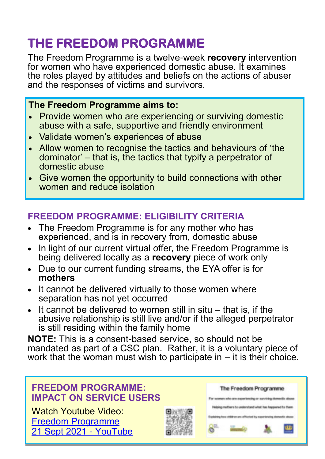# **THE FREEDOM PROGRAMME**

The Freedom Programme is a twelve-week **recovery** intervention for women who have experienced domestic abuse. It examines the roles played by attitudes and beliefs on the actions of abuser and the responses of victims and survivors.

## **The Freedom Programme aims to:**

- Provide women who are experiencing or surviving domestic abuse with a safe, supportive and friendly environment
- Validate women's experiences of abuse
- Allow women to recognise the tactics and behaviours of 'the dominator' – that is, the tactics that typify a perpetrator of domestic abuse
- Give women the opportunity to build connections with other women and reduce isolation

## **FREEDOM PROGRAMME: ELIGIBILITY CRITERIA**

- The Freedom Programme is for any mother who has experienced, and is in recovery from, domestic abuse
- In light of our current virtual offer, the Freedom Programme is being delivered locally as a **recovery** piece of work only
- Due to our current funding streams, the EYA offer is for **mothers**
- It cannot be delivered virtually to those women where separation has not yet occurred
- It cannot be delivered to women still in situ that is, if the abusive relationship is still live and/or if the alleged perpetrator is still residing within the family home

**NOTE:** This is a consent-based service, so should not be mandated as part of a CSC plan. Rather, it is a voluntary piece of work that the woman must wish to participate in – it is their choice.

## **FREEDOM PROGRAMME: IMPACT ON SERVICE USERS**

Watch Youtube Video: [Freedom Programme](https://www.youtube.com/watch?v=QFf1CUbl1uU)  [21 Sept 2021](https://www.youtube.com/watch?v=QFf1CUbl1uU) - YouTube